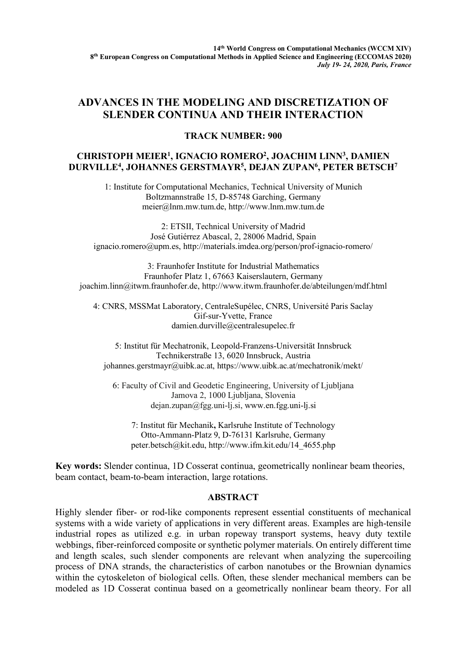## **ADVANCES IN THE MODELING AND DISCRETIZATION OF SLENDER CONTINUA AND THEIR INTERACTION**

## **TRACK NUMBER: 900**

## **CHRISTOPH MEIER1, IGNACIO ROMERO2, JOACHIM LINN3, DAMIEN DURVILLE4, JOHANNES GERSTMAYR5 , DEJAN ZUPAN6 , PETER BETSCH7**

1: Institute for Computational Mechanics, Technical University of Munich Boltzmannstraße 15, D-85748 Garching, Germany meier@lnm.mw.tum.de, http://www.lnm.mw.tum.de

2: ETSII, Technical University of Madrid José Gutiérrez Abascal, 2, 28006 Madrid, Spain ignacio.romero@upm.es, http://materials.imdea.org/person/prof-ignacio-romero/

3: Fraunhofer Institute for Industrial Mathematics Fraunhofer Platz 1, 67663 Kaiserslautern, Germany joachim.linn@itwm.fraunhofer.de, http://www.itwm.fraunhofer.de/abteilungen/mdf.html

4: CNRS, MSSMat Laboratory, CentraleSupélec, CNRS, Université Paris Saclay Gif-sur-Yvette, France damien.durville@centralesupelec.fr

5: Institut für Mechatronik, Leopold-Franzens-Universität Innsbruck Technikerstraße 13, 6020 Innsbruck, Austria johannes.gerstmayr@uibk.ac.at, https://www.uibk.ac.at/mechatronik/mekt/

6: Faculty of Civil and Geodetic Engineering, University of Ljubljana Jamova 2, 1000 Ljubljana, Slovenia dejan.zupan@fgg.uni-lj.si, www.en.fgg.uni-lj.si

7: Institut für Mechanik**,** Karlsruhe Institute of Technology Otto-Ammann-Platz 9, D-76131 Karlsruhe, Germany peter.betsch@kit.edu, http://www.ifm.kit.edu/14\_4655.php

**Key words:** Slender continua, 1D Cosserat continua, geometrically nonlinear beam theories, beam contact, beam-to-beam interaction, large rotations.

## **ABSTRACT**

Highly slender fiber- or rod-like components represent essential constituents of mechanical systems with a wide variety of applications in very different areas. Examples are high-tensile industrial ropes as utilized e.g. in urban ropeway transport systems, heavy duty textile webbings, fiber-reinforced composite or synthetic polymer materials. On entirely different time and length scales, such slender components are relevant when analyzing the supercoiling process of DNA strands, the characteristics of carbon nanotubes or the Brownian dynamics within the cytoskeleton of biological cells. Often, these slender mechanical members can be modeled as 1D Cosserat continua based on a geometrically nonlinear beam theory. For all